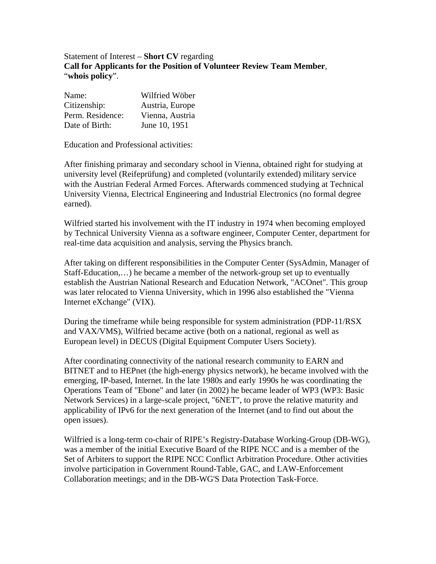Statement of Interest – **Short CV** regarding **Call for Applicants for the Position of Volunteer Review Team Member**, "**whois policy**".

| Name:            | Wilfried Wöber  |
|------------------|-----------------|
| Citizenship:     | Austria, Europe |
| Perm. Residence: | Vienna, Austria |
| Date of Birth:   | June 10, 1951   |

Education and Professional activities:

After finishing primaray and secondary school in Vienna, obtained right for studying at university level (Reifeprüfung) and completed (voluntarily extended) military service with the Austrian Federal Armed Forces. Afterwards commenced studying at Technical University Vienna, Electrical Engineering and Industrial Electronics (no formal degree earned).

Wilfried started his involvement with the IT industry in 1974 when becoming employed by Technical University Vienna as a software engineer, Computer Center, department for real-time data acquisition and analysis, serving the Physics branch.

After taking on different responsibilities in the Computer Center (SysAdmin, Manager of Staff-Education,…) he became a member of the network-group set up to eventually establish the Austrian National Research and Education Network, "ACOnet". This group was later relocated to Vienna University, which in 1996 also established the "Vienna Internet eXchange" (VIX).

During the timeframe while being responsible for system administration (PDP-11/RSX and VAX/VMS), Wilfried became active (both on a national, regional as well as European level) in DECUS (Digital Equipment Computer Users Society).

After coordinating connectivity of the national research community to EARN and BITNET and to HEPnet (the high-energy physics network), he became involved with the emerging, IP-based, Internet. In the late 1980s and early 1990s he was coordinating the Operations Team of "Ebone" and later (in 2002) he became leader of WP3 (WP3: Basic Network Services) in a large-scale project, "6NET", to prove the relative maturity and applicability of IPv6 for the next generation of the Internet (and to find out about the open issues).

Wilfried is a long-term co-chair of RIPE's Registry-Database Working-Group (DB-WG), was a member of the initial Executive Board of the RIPE NCC and is a member of the Set of Arbiters to support the RIPE NCC Conflict Arbitration Procedure. Other activities involve participation in Government Round-Table, GAC, and LAW-Enforcement Collaboration meetings; and in the DB-WG'S Data Protection Task-Force.